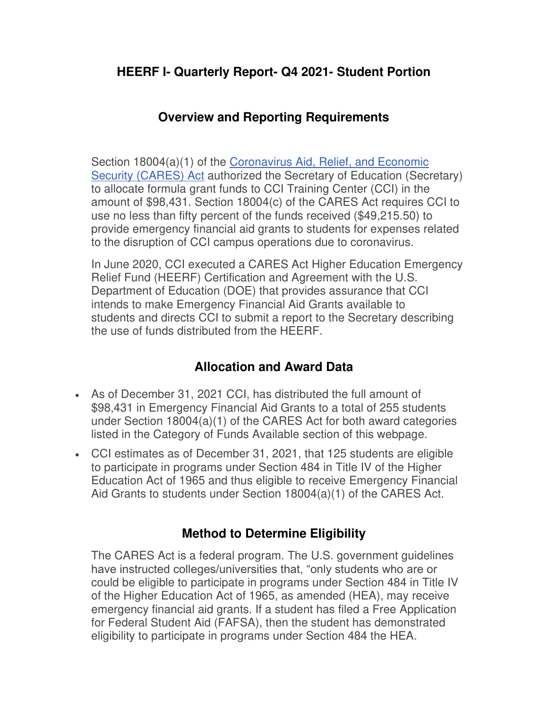## **HEERF I- Quarterly Report- Q4 2021- Student Portion**

## **Overview and Reporting Requirements**

Section 18004(a)(1) of the [Coronavirus Aid, Relief, and Economic](https://www2.ed.gov/programs/heerf/)  [Security \(CARES\) Act](https://www2.ed.gov/programs/heerf/) authorized the Secretary of Education (Secretary) to allocate formula grant funds to CCI Training Center (CCI) in the amount of \$98,431. Section 18004(c) of the CARES Act requires CCI to use no less than fifty percent of the funds received (\$49,215.50) to provide emergency financial aid grants to students for expenses related to the disruption of CCI campus operations due to coronavirus.

In June 2020, CCI executed a CARES Act Higher Education Emergency Relief Fund (HEERF) Certification and Agreement with the U.S. Department of Education (DOE) that provides assurance that CCI intends to make Emergency Financial Aid Grants available to students and directs CCI to submit a report to the Secretary describing the use of funds distributed from the HEERF.

# **Allocation and Award Data**

- As of December 31, 2021 CCI, has distributed the full amount of \$98,431 in Emergency Financial Aid Grants to a total of 255 students under Section 18004(a)(1) of the CARES Act for both award categories listed in the Category of Funds Available section of this webpage.
- CCI estimates as of December 31, 2021, that 125 students are eligible to participate in programs under Section 484 in Title IV of the Higher Education Act of 1965 and thus eligible to receive Emergency Financial Aid Grants to students under Section 18004(a)(1) of the CARES Act.

#### **Method to Determine Eligibility**

The CARES Act is a federal program. The U.S. government guidelines have instructed colleges/universities that, "only students who are or could be eligible to participate in programs under Section 484 in Title IV of the Higher Education Act of 1965, as amended (HEA), may receive emergency financial aid grants. If a student has filed a Free Application for Federal Student Aid (FAFSA), then the student has demonstrated eligibility to participate in programs under Section 484 the HEA.